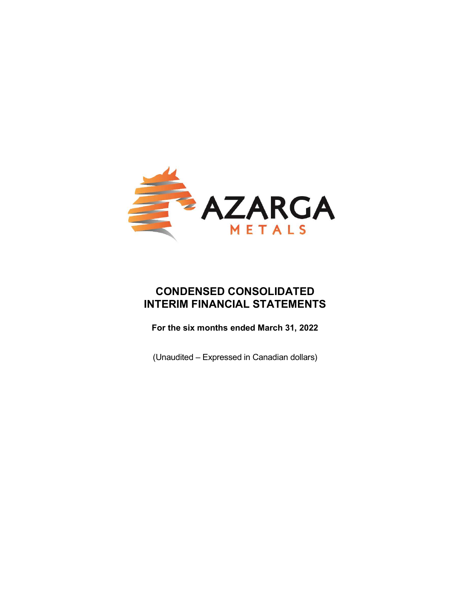

# CONDENSED CONSOLIDATED INTERIM FINANCIAL STATEMENTS

For the six months ended March 31, 2022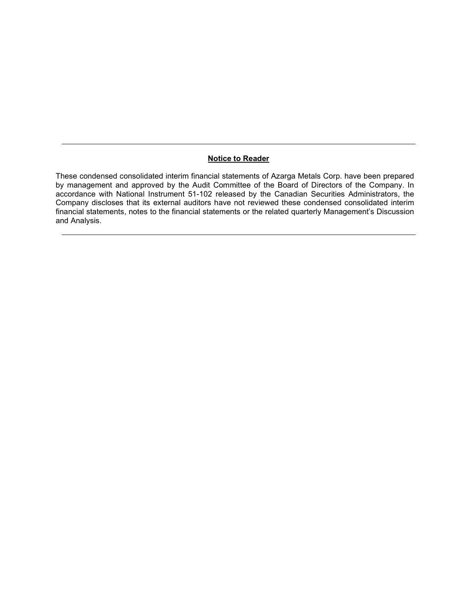#### Notice to Reader

These condensed consolidated interim financial statements of Azarga Metals Corp. have been prepared by management and approved by the Audit Committee of the Board of Directors of the Company. In accordance with National Instrument 51-102 released by the Canadian Securities Administrators, the Company discloses that its external auditors have not reviewed these condensed consolidated interim financial statements, notes to the financial statements or the related quarterly Management's Discussion and Analysis.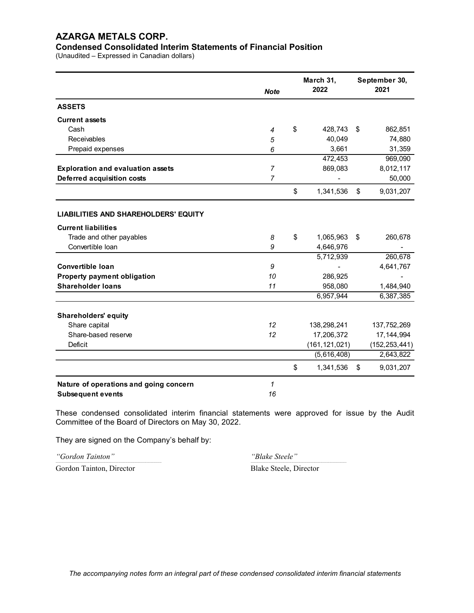#### Condensed Consolidated Interim Statements of Financial Position

(Unaudited – Expressed in Canadian dollars)

|                                             | <b>Note</b>    | March 31,<br>2022  | September 30,<br>2021 |
|---------------------------------------------|----------------|--------------------|-----------------------|
| <b>ASSETS</b>                               |                |                    |                       |
| <b>Current assets</b>                       |                |                    |                       |
| Cash                                        | 4              | \$<br>428,743 \$   | 862,851               |
| <b>Receivables</b>                          | 5              | 40,049             | 74,880                |
| Prepaid expenses                            | 6              | 3,661              | 31,359                |
|                                             |                | 472,453            | 969,090               |
| <b>Exploration and evaluation assets</b>    | $\overline{7}$ | 869,083            | 8,012,117             |
| Deferred acquisition costs                  | $\overline{7}$ |                    | 50,000                |
|                                             |                | \$<br>1,341,536    | \$<br>9,031,207       |
| <b>LIABILITIES AND SHAREHOLDERS' EQUITY</b> |                |                    |                       |
| <b>Current liabilities</b>                  |                |                    |                       |
| Trade and other payables                    | 8              | \$<br>1,065,963 \$ | 260,678               |
| Convertible Ioan                            | 9              | 4,646,976          |                       |
|                                             |                | 5,712,939          | 260,678               |
| Convertible loan                            | 9              |                    | 4,641,767             |
| Property payment obligation                 | 10             | 286,925            |                       |
| <b>Shareholder loans</b>                    | 11             | 958,080            | 1,484,940             |
|                                             |                | 6,957,944          | 6,387,385             |
| <b>Shareholders' equity</b>                 |                |                    |                       |
| Share capital                               | 12             | 138,298,241        | 137,752,269           |
| Share-based reserve                         | 12             | 17,206,372         | 17, 144, 994          |
| Deficit                                     |                | (161, 121, 021)    | (152, 253, 441)       |
|                                             |                | (5,616,408)        | 2,643,822             |
|                                             |                | \$<br>1,341,536    | \$<br>9,031,207       |
| Nature of operations and going concern      | 1              |                    |                       |
| <b>Subsequent events</b>                    | 16             |                    |                       |

These condensed consolidated interim financial statements were approved for issue by the Audit Committee of the Board of Directors on May 30, 2022.

----------------------------------------------------------------------------------------------------------------------------------------- ----------------------------------------------------------------------------------------------------------------------------

They are signed on the Company's behalf by:

"Gordon Tainton" "Blake Steele"

Gordon Tainton, Director Blake Steele, Director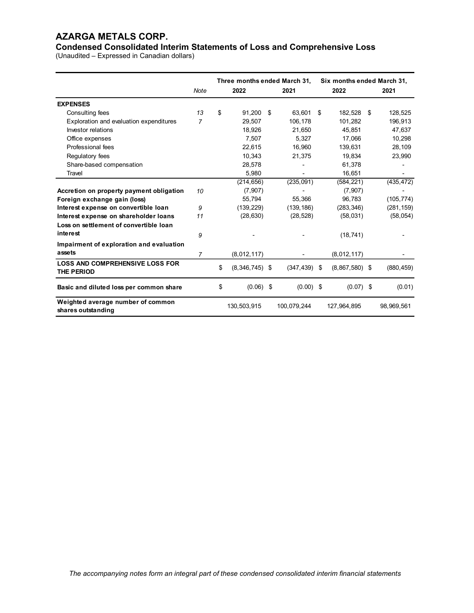| <b>AZARGA METALS CORP.</b><br><b>Condensed Consolidated Interim Statements of Loss and Comprehensive Loss</b> |                |                              |                          |                            |            |
|---------------------------------------------------------------------------------------------------------------|----------------|------------------------------|--------------------------|----------------------------|------------|
|                                                                                                               |                |                              |                          |                            |            |
|                                                                                                               |                |                              |                          |                            |            |
|                                                                                                               |                |                              |                          |                            |            |
|                                                                                                               |                |                              |                          |                            |            |
|                                                                                                               |                |                              |                          |                            |            |
|                                                                                                               |                |                              |                          |                            |            |
|                                                                                                               |                |                              |                          |                            |            |
|                                                                                                               |                |                              |                          |                            |            |
|                                                                                                               |                |                              |                          |                            |            |
|                                                                                                               |                |                              |                          |                            |            |
|                                                                                                               |                |                              |                          |                            |            |
|                                                                                                               |                |                              |                          |                            |            |
|                                                                                                               |                |                              |                          |                            |            |
|                                                                                                               |                |                              |                          |                            |            |
| (Unaudited - Expressed in Canadian dollars)                                                                   |                |                              |                          |                            |            |
|                                                                                                               |                |                              |                          |                            |            |
|                                                                                                               |                | Three months ended March 31, |                          | Six months ended March 31, |            |
|                                                                                                               | Note           | 2022                         | 2021                     | 2022                       | 2021       |
| <b>EXPENSES</b>                                                                                               |                |                              |                          |                            |            |
| Consulting fees                                                                                               | 13             | \$<br>91,200 \$              | 63,601 \$                | 182,528 \$                 | 128,525    |
| Exploration and evaluation expenditures                                                                       | $\overline{7}$ | 29,507                       | 106,178                  | 101,282                    | 196,913    |
| Investor relations                                                                                            |                | 18,926                       | 21,650                   | 45,851                     | 47,637     |
| Office expenses                                                                                               |                | 7,507                        | 5,327                    | 17,066                     | 10,298     |
| Professional fees                                                                                             |                | 22,615                       | 16,960                   | 139,631                    | 28,109     |
| Regulatory fees                                                                                               |                | 10,343                       | 21,375                   | 19,834                     | 23,990     |
| Share-based compensation                                                                                      |                | 28,578                       | $\overline{\phantom{a}}$ | 61,378                     |            |
| Travel                                                                                                        |                | 5,980                        | ٠                        | 16,651                     | $\sim$     |
|                                                                                                               |                | (214, 656)                   | (235,091)                | (584, 221)                 | (435, 472) |
| Accretion on property payment obligation                                                                      | 10             | (7, 907)                     |                          | (7, 907)                   |            |
| Foreign exchange gain (loss)                                                                                  |                | 55,794                       | 55,366                   | 96,783                     | (105, 774) |
| Interest expense on convertible loan                                                                          | 9              | (139, 229)                   | (139, 186)               | (283, 346)                 | (281, 159) |
| Interest expense on shareholder loans                                                                         | 11             | (28, 630)                    | (28, 528)                | (58,031)                   | (58, 054)  |
| Loss on settlement of convertible loan                                                                        |                |                              |                          |                            |            |
| interest                                                                                                      | 9              |                              |                          | (18, 741)                  |            |
| Impairment of exploration and evaluation                                                                      |                |                              |                          |                            |            |
| assets                                                                                                        | $\overline{7}$ | (8,012,117)                  | $\overline{\phantom{a}}$ | (8,012,117)                | $\sim$     |
| LOSS AND COMPREHENSIVE LOSS FOR                                                                               |                |                              |                          |                            |            |
| THE PERIOD                                                                                                    |                | \$<br>$(8,346,745)$ \$       | $(347, 439)$ \$          | $(8,867,580)$ \$           | (880, 459) |
| Basic and diluted loss per common share                                                                       |                | \$<br>$(0.06)$ \$            | $(0.00)$ \$              | $(0.07)$ \$                | (0.01)     |
|                                                                                                               |                | 130,503,915                  | 100,079,244              | 127,964,895                | 98,969,561 |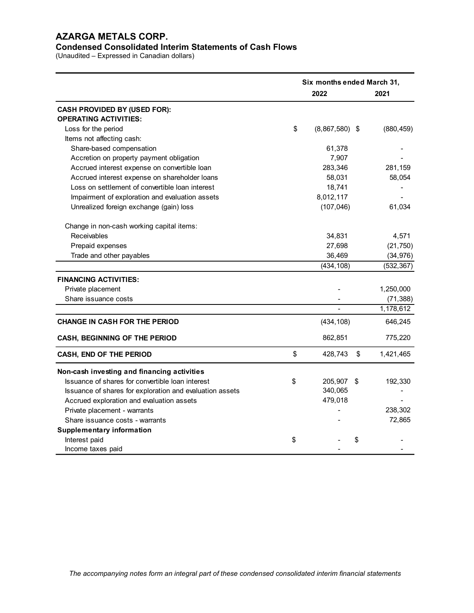# Condensed Consolidated Interim Statements of Cash Flows

|                                                                                            | Six months ended March 31, |                          |
|--------------------------------------------------------------------------------------------|----------------------------|--------------------------|
|                                                                                            | 2022                       | 2021                     |
| <b>CASH PROVIDED BY (USED FOR):</b><br><b>OPERATING ACTIVITIES:</b><br>Loss for the period | \$<br>$(8,867,580)$ \$     | (880, 459)               |
| Items not affecting cash:                                                                  |                            |                          |
| Share-based compensation                                                                   | 61,378                     | $\overline{\phantom{0}}$ |
| Accretion on property payment obligation                                                   | 7,907                      |                          |
| Accrued interest expense on convertible loan                                               | 283,346                    | 281,159                  |
| Accrued interest expense on shareholder loans                                              | 58,031                     | 58,054                   |
| Loss on settlement of convertible loan interest                                            | 18,741                     | $\overline{\phantom{a}}$ |
| Impairment of exploration and evaluation assets                                            | 8,012,117                  | $\blacksquare$           |
| Unrealized foreign exchange (gain) loss                                                    | (107, 046)                 | 61,034                   |
| Change in non-cash working capital items:                                                  |                            |                          |
| Receivables                                                                                | 34,831                     | 4,571                    |
| Prepaid expenses                                                                           | 27,698                     | (21, 750)                |
| Trade and other payables                                                                   | 36,469                     | (34, 976)                |
|                                                                                            | (434, 108)                 | (532, 367)               |
| <b>FINANCING ACTIVITIES:</b>                                                               |                            |                          |
| Private placement                                                                          |                            | 1,250,000                |
| Share issuance costs                                                                       |                            | (71, 388)                |
|                                                                                            |                            | 1,178,612                |
| <b>CHANGE IN CASH FOR THE PERIOD</b>                                                       | (434, 108)                 | 646,245                  |
| CASH, BEGINNING OF THE PERIOD                                                              | 862,851                    | 775,220                  |
| CASH, END OF THE PERIOD                                                                    | \$<br>428,743 \$           | 1,421,465                |
| Non-cash investing and financing activities                                                |                            |                          |
| Issuance of shares for convertible loan interest                                           | \$<br>205,907 \$           | 192,330                  |
| Issuance of shares for exploration and evaluation assets                                   | 340,065                    |                          |
| Accrued exploration and evaluation assets                                                  | 479,018                    |                          |
| Private placement - warrants                                                               |                            | 238,302                  |
| Share issuance costs - warrants                                                            |                            | 72,865                   |
| <b>Supplementary information</b>                                                           |                            |                          |
| Interest paid                                                                              | \$<br>\$                   |                          |
|                                                                                            |                            |                          |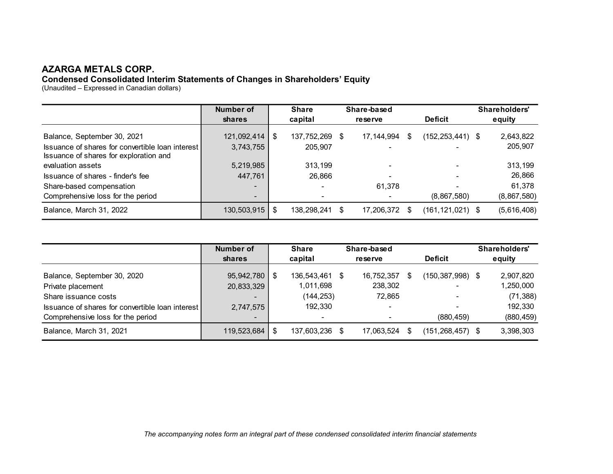#### Condensed Consolidated Interim Statements of Changes in Shareholders' Equity

| <b>AZARGA METALS CORP.</b>                                                   |                            |     |                         |                        |                      |                            |
|------------------------------------------------------------------------------|----------------------------|-----|-------------------------|------------------------|----------------------|----------------------------|
| Condensed Consolidated Interim Statements of Changes in Shareholders' Equity |                            |     |                         |                        |                      |                            |
| (Unaudited - Expressed in Canadian dollars)                                  |                            |     |                         |                        |                      |                            |
|                                                                              |                            |     |                         |                        |                      |                            |
|                                                                              | <b>Number of</b>           |     | <b>Share</b>            | Share-based            |                      | Shareholders'              |
|                                                                              | shares                     |     | capital                 | reserve                | <b>Deficit</b>       | equity                     |
| Balance, September 30, 2021                                                  | 121,092,414                | -\$ | 137,752,269 \$          | 17, 144, 994<br>-\$    | $(152, 253, 441)$ \$ | 2,643,822                  |
| Issuance of shares for convertible loan interest                             | 3,743,755                  |     | 205,907                 |                        |                      | 205,907                    |
|                                                                              |                            |     |                         |                        |                      |                            |
| Issuance of shares for exploration and                                       |                            |     |                         |                        |                      |                            |
| evaluation assets                                                            | 5,219,985                  |     | 313,199                 |                        |                      | 313,199                    |
| Issuance of shares - finder's fee                                            | 447,761                    |     | 26,866                  |                        |                      | 26,866                     |
| Share-based compensation                                                     |                            |     |                         | 61,378                 |                      | 61,378                     |
| Comprehensive loss for the period                                            |                            |     |                         | $\blacksquare$         | (8,867,580)          |                            |
| Balance, March 31, 2022                                                      | 130,503,915                | \$  | 138,298,241<br>\$       | 17,206,372 \$          | $(161, 121, 021)$ \$ |                            |
|                                                                              |                            |     |                         |                        |                      | (8,867,580)<br>(5,616,408) |
|                                                                              |                            |     |                         |                        |                      |                            |
|                                                                              |                            |     |                         |                        |                      |                            |
|                                                                              | <b>Number of</b><br>shares |     | <b>Share</b><br>capital | Share-based<br>reserve | <b>Deficit</b>       | Shareholders'<br>equity    |
|                                                                              |                            |     |                         |                        |                      |                            |
| Balance, September 30, 2020                                                  | 95,942,780                 | -\$ | 136,543,461<br>\$       | 16,752,357<br>\$       | $(150, 387, 998)$ \$ | 2,907,820                  |
| Private placement<br>Share issuance costs                                    | 20,833,329                 |     | 1,011,698<br>(144, 253) | 238,302<br>72,865      |                      | 1,250,000<br>(71, 388)     |

| 5,219,985        |                                                  |                            |                                                                  |             |                                                 |                               |                                                                      |
|------------------|--------------------------------------------------|----------------------------|------------------------------------------------------------------|-------------|-------------------------------------------------|-------------------------------|----------------------------------------------------------------------|
|                  |                                                  | 313,199                    |                                                                  |             |                                                 |                               | 313,199                                                              |
| 447,761          |                                                  | 26,866                     |                                                                  |             |                                                 |                               | 26,866                                                               |
|                  |                                                  |                            | 61,378                                                           |             |                                                 |                               | 61,378                                                               |
|                  |                                                  | ۰                          |                                                                  |             |                                                 |                               | (8,867,580)                                                          |
|                  | \$                                               |                            |                                                                  |             |                                                 |                               | (5,616,408)                                                          |
|                  |                                                  |                            |                                                                  |             |                                                 |                               |                                                                      |
| <b>Number of</b> |                                                  | <b>Share</b>               |                                                                  |             |                                                 |                               | Shareholders'                                                        |
| shares           |                                                  | capital                    | reserve                                                          |             |                                                 |                               | equity                                                               |
| 95,942,780       | \$                                               |                            |                                                                  |             |                                                 |                               | 2,907,820                                                            |
| 20,833,329       |                                                  | 1,011,698                  | 238,302                                                          |             |                                                 |                               | 1,250,000                                                            |
|                  |                                                  |                            | 72,865                                                           |             |                                                 |                               | (71, 388)                                                            |
| 2,747,575        |                                                  | 192,330                    |                                                                  |             |                                                 |                               | 192,330                                                              |
|                  |                                                  | ۰                          |                                                                  |             | (880, 459)                                      |                               | (880, 459)                                                           |
|                  | \$                                               |                            |                                                                  |             |                                                 |                               | 3,398,303                                                            |
|                  |                                                  |                            |                                                                  |             |                                                 |                               |                                                                      |
|                  | Issuance of shares for convertible loan interest | 130,503,915<br>119,523,684 | 138,298,241 \$<br>136,543,461 \$<br>(144, 253)<br>137,603,236 \$ | Share-based | 17,206,372 \$<br>16,752,357 \$<br>17,063,524 \$ | (8,867,580)<br><b>Deficit</b> | $(161, 121, 021)$ \$<br>$(150, 387, 998)$ \$<br>$(151, 268, 457)$ \$ |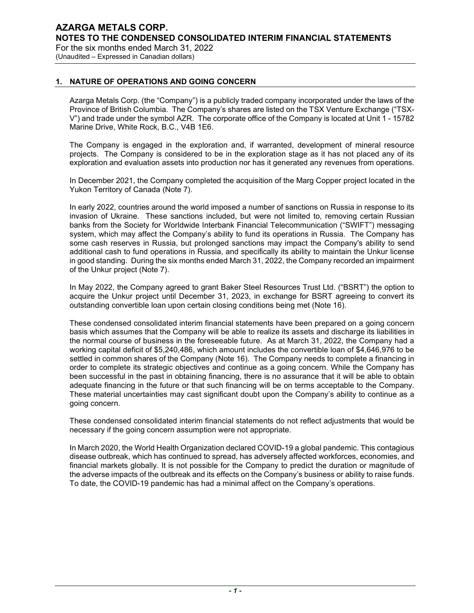# 1. NATURE OF OPERATIONS AND GOING CONCERN

Azarga Metals Corp. (the "Company") is a publicly traded company incorporated under the laws of the Province of British Columbia. The Company's shares are listed on the TSX Venture Exchange ("TSX-V") and trade under the symbol AZR. The corporate office of the Company is located at Unit 1 - 15782 Marine Drive, White Rock, B.C., V4B 1E6.

The Company is engaged in the exploration and, if warranted, development of mineral resource projects. The Company is considered to be in the exploration stage as it has not placed any of its exploration and evaluation assets into production nor has it generated any revenues from operations.

In December 2021, the Company completed the acquisition of the Marg Copper project located in the Yukon Territory of Canada (Note 7).

In early 2022, countries around the world imposed a number of sanctions on Russia in response to its invasion of Ukraine. These sanctions included, but were not limited to, removing certain Russian banks from the Society for Worldwide Interbank Financial Telecommunication ("SWIFT") messaging system, which may affect the Company's ability to fund its operations in Russia. The Company has some cash reserves in Russia, but prolonged sanctions may impact the Company's ability to send additional cash to fund operations in Russia, and specifically its ability to maintain the Unkur license in good standing. During the six months ended March 31, 2022, the Company recorded an impairment of the Unkur project (Note 7).

In May 2022, the Company agreed to grant Baker Steel Resources Trust Ltd. ("BSRT") the option to acquire the Unkur project until December 31, 2023, in exchange for BSRT agreeing to convert its outstanding convertible loan upon certain closing conditions being met (Note 16).

These condensed consolidated interim financial statements have been prepared on a going concern basis which assumes that the Company will be able to realize its assets and discharge its liabilities in the normal course of business in the foreseeable future. As at March 31, 2022, the Company had a working capital deficit of \$5,240,486, which amount includes the convertible loan of \$4,646,976 to be settled in common shares of the Company (Note 16). The Company needs to complete a financing in order to complete its strategic objectives and continue as a going concern. While the Company has been successful in the past in obtaining financing, there is no assurance that it will be able to obtain adequate financing in the future or that such financing will be on terms acceptable to the Company. These material uncertainties may cast significant doubt upon the Company's ability to continue as a going concern.

These condensed consolidated interim financial statements do not reflect adjustments that would be necessary if the going concern assumption were not appropriate.

In March 2020, the World Health Organization declared COVID-19 a global pandemic. This contagious disease outbreak, which has continued to spread, has adversely affected workforces, economies, and financial markets globally. It is not possible for the Company to predict the duration or magnitude of the adverse impacts of the outbreak and its effects on the Company's business or ability to raise funds. To date, the COVID-19 pandemic has had a minimal affect on the Company's operations.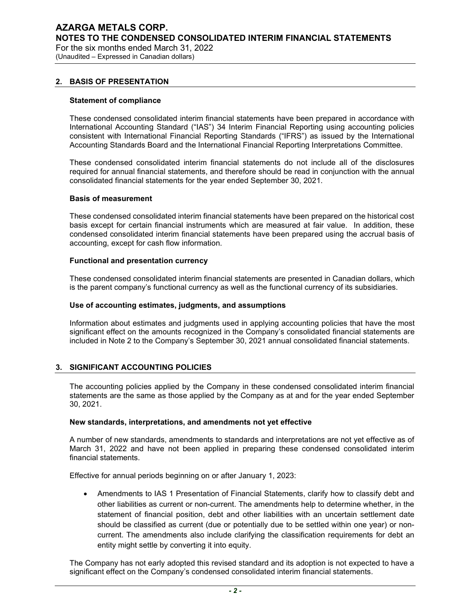(Unaudited – Expressed in Canadian dollars)

#### 2. BASIS OF PRESENTATION

#### Statement of compliance

These condensed consolidated interim financial statements have been prepared in accordance with International Accounting Standard ("IAS") 34 Interim Financial Reporting using accounting policies consistent with International Financial Reporting Standards ("IFRS") as issued by the International Accounting Standards Board and the International Financial Reporting Interpretations Committee.

These condensed consolidated interim financial statements do not include all of the disclosures required for annual financial statements, and therefore should be read in conjunction with the annual consolidated financial statements for the year ended September 30, 2021.

#### Basis of measurement

These condensed consolidated interim financial statements have been prepared on the historical cost basis except for certain financial instruments which are measured at fair value. In addition, these condensed consolidated interim financial statements have been prepared using the accrual basis of accounting, except for cash flow information.

#### Functional and presentation currency

These condensed consolidated interim financial statements are presented in Canadian dollars, which is the parent company's functional currency as well as the functional currency of its subsidiaries.

#### Use of accounting estimates, judgments, and assumptions

Information about estimates and judgments used in applying accounting policies that have the most significant effect on the amounts recognized in the Company's consolidated financial statements are included in Note 2 to the Company's September 30, 2021 annual consolidated financial statements.

#### 3. SIGNIFICANT ACCOUNTING POLICIES

The accounting policies applied by the Company in these condensed consolidated interim financial statements are the same as those applied by the Company as at and for the year ended September 30, 2021.

#### New standards, interpretations, and amendments not yet effective

A number of new standards, amendments to standards and interpretations are not yet effective as of March 31, 2022 and have not been applied in preparing these condensed consolidated interim financial statements.

Effective for annual periods beginning on or after January 1, 2023:

 Amendments to IAS 1 Presentation of Financial Statements, clarify how to classify debt and other liabilities as current or non-current. The amendments help to determine whether, in the statement of financial position, debt and other liabilities with an uncertain settlement date should be classified as current (due or potentially due to be settled within one year) or noncurrent. The amendments also include clarifying the classification requirements for debt an entity might settle by converting it into equity.

The Company has not early adopted this revised standard and its adoption is not expected to have a significant effect on the Company's condensed consolidated interim financial statements.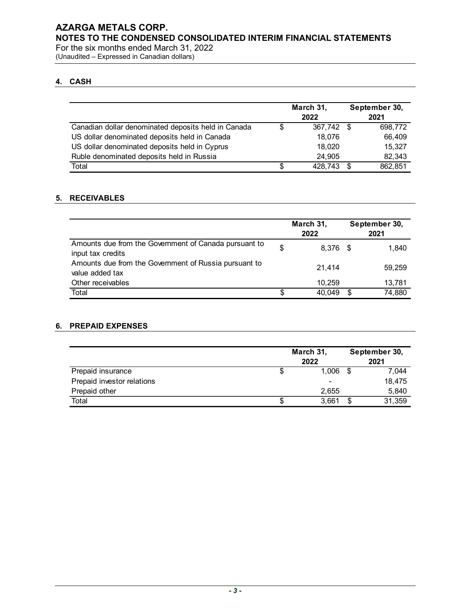(Unaudited – Expressed in Canadian dollars)

## 4. CASH

| ARGA METALS CORP.<br>TES TO THE CONDENSED CONSOLIDATED INTERIM FINANCIAL STATEMENTS |                    |               |         |
|-------------------------------------------------------------------------------------|--------------------|---------------|---------|
|                                                                                     |                    |               |         |
|                                                                                     |                    |               |         |
|                                                                                     |                    |               |         |
|                                                                                     |                    |               |         |
|                                                                                     |                    |               |         |
|                                                                                     |                    |               |         |
|                                                                                     |                    |               |         |
| the six months ended March 31, 2022                                                 |                    |               |         |
| audited - Expressed in Canadian dollars)                                            |                    |               |         |
|                                                                                     |                    |               |         |
| <b>CASH</b>                                                                         |                    |               |         |
|                                                                                     |                    |               |         |
|                                                                                     |                    |               |         |
|                                                                                     |                    |               |         |
|                                                                                     | March 31,          | September 30, |         |
|                                                                                     | 2022               | 2021          |         |
| Canadian dollar denominated deposits held in Canada                                 | \$<br>367,742 \$   |               | 698,772 |
| US dollar denominated deposits held in Canada                                       | 18,076             |               | 66,409  |
|                                                                                     |                    |               | 15,327  |
| US dollar denominated deposits held in Cyprus                                       | 18,020<br>24,905   |               | 82,343  |
| Ruble denominated deposits held in Russia<br>Total                                  | \$<br>$428,743$ \$ |               | 862,851 |

#### 5. RECEIVABLES

|                                                                            |                          | March 31,         |                          | September 30,         |
|----------------------------------------------------------------------------|--------------------------|-------------------|--------------------------|-----------------------|
|                                                                            |                          | 2022              |                          | 2021                  |
| Canadian dollar denominated deposits held in Canada                        | \$                       | 367,742 \$        |                          | 698,772               |
| US dollar denominated deposits held in Canada                              |                          | 18,076            |                          | 66,409                |
| US dollar denominated deposits held in Cyprus                              |                          | 18,020            |                          | 15,327                |
| Ruble denominated deposits held in Russia                                  |                          | 24,905            |                          | 82,343                |
| Total                                                                      | $\overline{\mathcal{S}}$ | $428,743$ \$      |                          | 862,851               |
| <b>RECEIVABLES</b>                                                         |                          |                   |                          |                       |
|                                                                            |                          | March 31,<br>2022 |                          | September 30,<br>2021 |
| Amounts due from the Government of Canada pursuant to<br>input tax credits | \$                       | 8,376 \$          |                          | 1,840                 |
| Amounts due from the Government of Russia pursuant to<br>value added tax   |                          | 21,414            |                          | 59,259                |
| Other receivables                                                          |                          | 10,259            |                          | 13,781                |
| Total                                                                      | $\overline{\mathbb{S}}$  | $40,049$ \$       |                          | 74,880                |
| <b>PREPAID EXPENSES</b>                                                    |                          |                   |                          |                       |
|                                                                            |                          | March 31,         |                          | September 30,         |
|                                                                            |                          | 2022              |                          | 2021                  |
| Prepaid insurance                                                          | \$                       | $1,006$ \$        |                          | 7,044                 |
| Prepaid investor relations                                                 |                          |                   |                          | 18,475                |
| Prepaid other                                                              |                          | 2,655             |                          | 5,840                 |
|                                                                            | $\overline{\$}$          | 3,661             | $\overline{\mathcal{F}}$ | 31,359                |

#### 6. PREPAID EXPENSES

|                            | March 31, | September 30, |
|----------------------------|-----------|---------------|
|                            | 2022      | 2021          |
| Prepaid insurance          | 000,      | 7,044         |
| Prepaid investor relations |           | 18,475        |
| Prepaid other              | 2,655     | 5,840         |
| Total                      | 3,661     | 31,359        |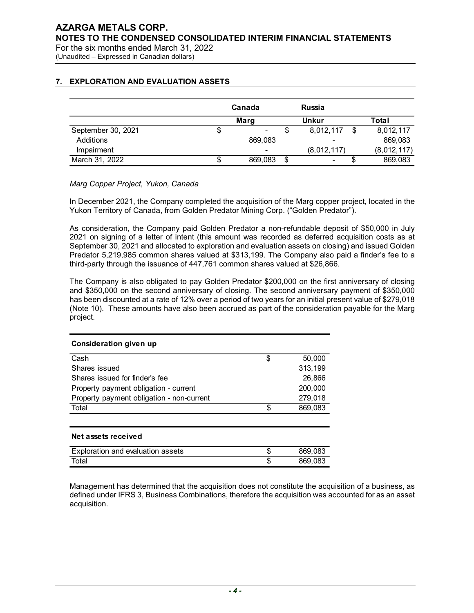# 7. EXPLORATION AND EVALUATION ASSETS

| <b>ARGA METALS CORP.</b>                                       |                   |                      |                   |                        |
|----------------------------------------------------------------|-------------------|----------------------|-------------------|------------------------|
|                                                                |                   |                      |                   |                        |
|                                                                |                   |                      |                   |                        |
|                                                                |                   |                      |                   |                        |
|                                                                |                   |                      |                   |                        |
|                                                                |                   |                      |                   |                        |
|                                                                |                   |                      |                   |                        |
|                                                                |                   |                      |                   |                        |
|                                                                |                   |                      |                   |                        |
|                                                                |                   |                      |                   |                        |
| TES TO THE CONDENSED CONSOLIDATED INTERIM FINANCIAL STATEMENTS |                   |                      |                   |                        |
|                                                                |                   |                      |                   |                        |
| the six months ended March 31, 2022                            |                   |                      |                   |                        |
| audited - Expressed in Canadian dollars)                       |                   |                      |                   |                        |
|                                                                |                   |                      |                   |                        |
|                                                                |                   |                      |                   |                        |
|                                                                |                   |                      |                   |                        |
|                                                                |                   |                      |                   |                        |
|                                                                |                   |                      |                   |                        |
|                                                                |                   |                      |                   |                        |
|                                                                | Canada            |                      | <b>Russia</b>     |                        |
| <b>EXPLORATION AND EVALUATION ASSETS</b>                       |                   |                      |                   |                        |
|                                                                | <b>Marg</b><br>\$ | \$<br>$\blacksquare$ | <b>Unkur</b>      | <b>Total</b>           |
| September 30, 2021                                             |                   |                      | 8,012,117 \$      | 8,012,117              |
| Additions                                                      |                   | 869,083              |                   | 869,083                |
| Impairment<br>March 31, 2022                                   | \$                | 869,083<br>\$        | (8,012,117)<br>\$ | (8,012,117)<br>869,083 |

#### Marg Copper Project, Yukon, Canada

In December 2021, the Company completed the acquisition of the Marg copper project, located in the Yukon Territory of Canada, from Golden Predator Mining Corp. ("Golden Predator").

As consideration, the Company paid Golden Predator a non-refundable deposit of \$50,000 in July 2021 on signing of a letter of intent (this amount was recorded as deferred acquisition costs as at September 30, 2021 and allocated to exploration and evaluation assets on closing) and issued Golden Predator 5,219,985 common shares valued at \$313,199. The Company also paid a finder's fee to a third-party through the issuance of 447,761 common shares valued at \$26,866.

The Company is also obligated to pay Golden Predator \$200,000 on the first anniversary of closing and \$350,000 on the second anniversary of closing. The second anniversary payment of \$350,000 has been discounted at a rate of 12% over a period of two years for an initial present value of \$279,018 (Note 10). These amounts have also been accrued as part of the consideration payable for the Marg project.

# Consideration given up March 31, 2022<br>  $$869,083$$ <br>
Marg Copper Project, Yukon, Canada<br>
In December 2021, the Company completed the acquisition of the Marg copper project, located in the<br>
Yukon Territory of Canada, from Golden Predator Wining C Marg Copper Project, Yukon, Canada<br>
In December 2021, the Company completed the acquisition of the Marg copper project, located in the<br>
futkon Territory of Canada, from Golden Predator Albing Corp. ("Golden Predator").<br>
As n December 2021, the Company completed the acquisition of the Marg copper project, located in the Wukin Territory of Canada, from Golden Predator Mining Corp. ("Golden Predator").<br>As consideration, the Company paid Golden fulton Territory of Canada, from Golden Predator Mining Corp. ("Golden Predator").<br>
Se consideration, the Company paid Golden Predator a non-refundable deposit of \$50,000 in July<br>
Also consideration, the Company paid Gold Net assets received Predator 5.219,985 common shares valued at \$313,199. The Company also paid a finder's fee to a<br>hird-party through the issuance of 447,761 common shares valued at \$26,686.<br>The Company is also obligated to pay Golden Predat hird-party through the issuance of 447,761 common shares valued at \$26,865.<br>
The Company is also colligated to pay Golden Predator \$200,000 on the first anniversary of closing<br>
The Company is also colligated to pay Golden

Management has determined that the acquisition does not constitute the acquisition of a business, as defined under IFRS 3, Business Combinations, therefore the acquisition was accounted for as an asset acquisition.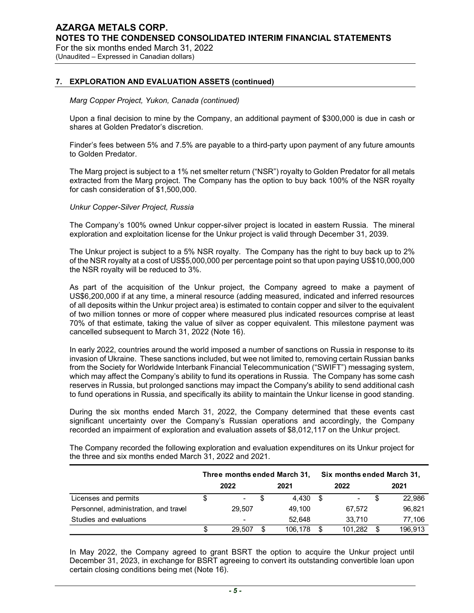7. EXPLORATION AND EVALUATION ASSETS (continued)

#### Marg Copper Project, Yukon, Canada (continued)

Upon a final decision to mine by the Company, an additional payment of \$300,000 is due in cash or shares at Golden Predator's discretion.

Finder's fees between 5% and 7.5% are payable to a third-party upon payment of any future amounts to Golden Predator.

The Marg project is subject to a 1% net smelter return ("NSR") royalty to Golden Predator for all metals extracted from the Marg project. The Company has the option to buy back 100% of the NSR royalty for cash consideration of \$1,500,000.

#### Unkur Copper-Silver Project, Russia

The Company's 100% owned Unkur copper-silver project is located in eastern Russia. The mineral exploration and exploitation license for the Unkur project is valid through December 31, 2039.

The Unkur project is subject to a 5% NSR royalty. The Company has the right to buy back up to 2% of the NSR royalty at a cost of US\$5,000,000 per percentage point so that upon paying US\$10,000,000 the NSR royalty will be reduced to 3%.

| US\$6,200,000 if at any time, a mineral resource (adding measured, indicated and inferred resources<br>of all deposits within the Unkur project area) is estimated to contain copper and silver to the equivalent<br>of two million tonnes or more of copper where measured plus indicated resources comprise at least<br>70% of that estimate, taking the value of silver as copper equivalent. This milestone payment was<br>cancelled subsequent to March 31, 2022 (Note 16).                                                                                                                                                                                                                                                                                                                                                                                                                                                                                                                                                                                                                               |        |                              | As part of the acquisition of the Unkur project, the Company agreed to make a payment of |              |
|----------------------------------------------------------------------------------------------------------------------------------------------------------------------------------------------------------------------------------------------------------------------------------------------------------------------------------------------------------------------------------------------------------------------------------------------------------------------------------------------------------------------------------------------------------------------------------------------------------------------------------------------------------------------------------------------------------------------------------------------------------------------------------------------------------------------------------------------------------------------------------------------------------------------------------------------------------------------------------------------------------------------------------------------------------------------------------------------------------------|--------|------------------------------|------------------------------------------------------------------------------------------|--------------|
| In early 2022, countries around the world imposed a number of sanctions on Russia in response to its<br>invasion of Ukraine. These sanctions included, but wee not limited to, removing certain Russian banks<br>from the Society for Worldwide Interbank Financial Telecommunication ("SWIFT") messaging system,<br>which may affect the Company's ability to fund its operations in Russia. The Company has some cash<br>reserves in Russia, but prolonged sanctions may impact the Company's ability to send additional cash<br>to fund operations in Russia, and specifically its ability to maintain the Unkur license in good standing.<br>During the six months ended March 31, 2022, the Company determined that these events cast<br>significant uncertainty over the Company's Russian operations and accordingly, the Company<br>recorded an impairment of exploration and evaluation assets of \$8,012,117 on the Unkur project.<br>The Company recorded the following exploration and evaluation expenditures on its Unkur project for<br>the three and six months ended March 31, 2022 and 2021. |        |                              |                                                                                          |              |
|                                                                                                                                                                                                                                                                                                                                                                                                                                                                                                                                                                                                                                                                                                                                                                                                                                                                                                                                                                                                                                                                                                                |        | Three months ended March 31, | Six months ended March 31,                                                               |              |
|                                                                                                                                                                                                                                                                                                                                                                                                                                                                                                                                                                                                                                                                                                                                                                                                                                                                                                                                                                                                                                                                                                                | 2022   | 2021                         | 2022                                                                                     | 2021         |
|                                                                                                                                                                                                                                                                                                                                                                                                                                                                                                                                                                                                                                                                                                                                                                                                                                                                                                                                                                                                                                                                                                                |        | \$<br>$4,430$ \$             |                                                                                          | \$<br>22,986 |
| Licenses and permits                                                                                                                                                                                                                                                                                                                                                                                                                                                                                                                                                                                                                                                                                                                                                                                                                                                                                                                                                                                                                                                                                           | \$     |                              |                                                                                          |              |
| Personnel, administration, and travel                                                                                                                                                                                                                                                                                                                                                                                                                                                                                                                                                                                                                                                                                                                                                                                                                                                                                                                                                                                                                                                                          | 29,507 | 49,100                       | 67,572                                                                                   | 96,821       |
| Studies and evaluations                                                                                                                                                                                                                                                                                                                                                                                                                                                                                                                                                                                                                                                                                                                                                                                                                                                                                                                                                                                                                                                                                        |        | 52,648                       | 33,710                                                                                   | 77,106       |

In May 2022, the Company agreed to grant BSRT the option to acquire the Unkur project until December 31, 2023, in exchange for BSRT agreeing to convert its outstanding convertible loan upon certain closing conditions being met (Note 16).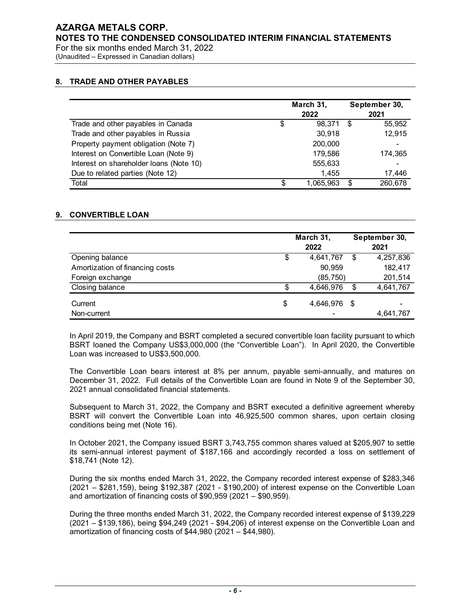For the six months ended March 31, 2022

(Unaudited – Expressed in Canadian dollars)

#### 8. TRADE AND OTHER PAYABLES

| audited – Expressed in Canadian dollars) |                 |                   |               |                       |
|------------------------------------------|-----------------|-------------------|---------------|-----------------------|
|                                          |                 |                   |               |                       |
|                                          |                 |                   |               |                       |
| <b>TRADE AND OTHER PAYABLES</b>          |                 |                   |               |                       |
|                                          |                 | March 31,         |               | September 30,         |
|                                          |                 | 2022              |               | 2021                  |
| Trade and other payables in Canada       | \$              | 98,371 \$         |               | 55,952                |
| Trade and other payables in Russia       |                 | 30,918            |               | 12,915                |
| Property payment obligation (Note 7)     |                 | 200,000           |               |                       |
| Interest on Convertible Loan (Note 9)    |                 | 179,586           |               | 174,365               |
| Interest on shareholder loans (Note 10)  |                 | 555,633           |               |                       |
| Due to related parties (Note 12)         |                 | 1,455             |               | 17,446                |
| Total                                    | \$              | 1,065,963         | $\sqrt[6]{3}$ | 260,678               |
| <b>CONVERTIBLE LOAN</b>                  |                 |                   |               |                       |
|                                          |                 |                   |               |                       |
|                                          |                 | March 31,<br>2022 |               | September 30,<br>2021 |
| Opening balance                          | \$              | 4,641,767         | $\sqrt[6]{2}$ | 4,257,836             |
| Amortization of financing costs          |                 | 90,959            |               | 182,417               |
| Foreign exchange                         |                 | (85, 750)         |               | 201,514               |
| Closing balance                          | $\overline{\$}$ | 4,646,976         | \$            | 4,641,767             |
|                                          | \$              | 4,646,976 \$      |               |                       |
| Current                                  |                 |                   |               |                       |

#### 9. CONVERTIBLE LOAN

|                                         | March 31,          |      | September 30,         |
|-----------------------------------------|--------------------|------|-----------------------|
|                                         | 2022               |      | 2021                  |
| Trade and other payables in Canada      | \$<br>98,371       | - \$ | 55,952                |
| Trade and other payables in Russia      | 30,918             |      | 12,915                |
| Property payment obligation (Note 7)    | 200,000            |      |                       |
| Interest on Convertible Loan (Note 9)   | 179,586            |      | 174,365               |
| Interest on shareholder loans (Note 10) | 555,633            |      |                       |
| Due to related parties (Note 12)        | 1,455              |      | 17,446                |
| Total                                   | \$<br>1,065,963    | - \$ | 260,678               |
| <b>CONVERTIBLE LOAN</b>                 |                    |      |                       |
|                                         | March 31,<br>2022  |      | September 30,<br>2021 |
| Opening balance                         | \$<br>4,641,767    | \$   | 4,257,836             |
|                                         | 90,959             |      | 182,417               |
| Amortization of financing costs         |                    |      |                       |
| Foreign exchange                        | (85, 750)          |      | 201,514               |
| Closing balance                         | \$<br>4,646,976    | \$   | 4,641,767             |
| Current                                 | \$<br>4,646,976 \$ |      |                       |

The Convertible Loan bears interest at 8% per annum, payable semi-annually, and matures on December 31, 2022. Full details of the Convertible Loan are found in Note 9 of the September 30, 2021 annual consolidated financial statements.

Subsequent to March 31, 2022, the Company and BSRT executed a definitive agreement whereby BSRT will convert the Convertible Loan into 46,925,500 common shares, upon certain closing conditions being met (Note 16).

In October 2021, the Company issued BSRT 3,743,755 common shares valued at \$205,907 to settle its semi-annual interest payment of \$187,166 and accordingly recorded a loss on settlement of \$18,741 (Note 12).

During the six months ended March 31, 2022, the Company recorded interest expense of \$283,346 (2021 – \$281,159), being \$192,387 (2021 - \$190,200) of interest expense on the Convertible Loan and amortization of financing costs of \$90,959 (2021 – \$90,959).

During the three months ended March 31, 2022, the Company recorded interest expense of \$139,229 (2021 – \$139,186), being \$94,249 (2021 - \$94,206) of interest expense on the Convertible Loan and amortization of financing costs of \$44,980 (2021 – \$44,980).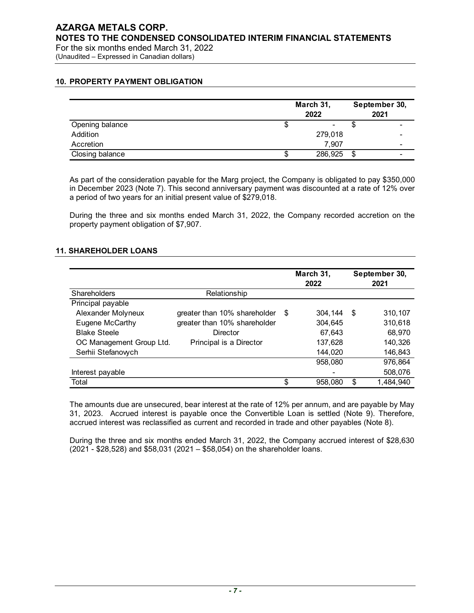## 10. PROPERTY PAYMENT OBLIGATION

| <b>ARGA METALS CORP.</b><br>TES TO THE CONDENSED CONSOLIDATED INTERIM FINANCIAL STATEMENTS<br>the six months ended March 31, 2022 |               |               |
|-----------------------------------------------------------------------------------------------------------------------------------|---------------|---------------|
|                                                                                                                                   |               |               |
|                                                                                                                                   |               |               |
|                                                                                                                                   |               |               |
|                                                                                                                                   |               |               |
|                                                                                                                                   |               |               |
|                                                                                                                                   |               |               |
|                                                                                                                                   |               |               |
| audited - Expressed in Canadian dollars)                                                                                          |               |               |
|                                                                                                                                   |               |               |
|                                                                                                                                   |               |               |
|                                                                                                                                   |               |               |
|                                                                                                                                   |               |               |
| PROPERTY PAYMENT OBLIGATION                                                                                                       |               |               |
|                                                                                                                                   |               |               |
|                                                                                                                                   |               |               |
|                                                                                                                                   |               |               |
|                                                                                                                                   | March 31,     | September 30, |
|                                                                                                                                   |               |               |
|                                                                                                                                   | 2022          | 2021          |
| Opening balance                                                                                                                   | \$            | \$            |
|                                                                                                                                   |               |               |
| Addition                                                                                                                          | 279,018       |               |
| Accretion                                                                                                                         | 7,907         |               |
| Closing balance                                                                                                                   | \$<br>286,925 | -\$           |

#### 11. SHAREHOLDER LOANS

|                                                                                                                                                                    |                                                                                                                                                                                                                                                                             | March 31,<br>2022  |                | September 30,<br>2021 |
|--------------------------------------------------------------------------------------------------------------------------------------------------------------------|-----------------------------------------------------------------------------------------------------------------------------------------------------------------------------------------------------------------------------------------------------------------------------|--------------------|----------------|-----------------------|
| Opening balance                                                                                                                                                    |                                                                                                                                                                                                                                                                             | \$                 | \$             |                       |
| Addition                                                                                                                                                           |                                                                                                                                                                                                                                                                             | 279,018            |                |                       |
| Accretion                                                                                                                                                          |                                                                                                                                                                                                                                                                             | 7,907              |                |                       |
| Closing balance                                                                                                                                                    |                                                                                                                                                                                                                                                                             | \$<br>286,925      | $\mathfrak{F}$ |                       |
|                                                                                                                                                                    | As part of the consideration payable for the Marg project, the Company is obligated to pay \$350,000<br>in December 2023 (Note 7). This second anniversary payment was discounted at a rate of 12% over<br>a period of two years for an initial present value of \$279,018. |                    |                |                       |
|                                                                                                                                                                    |                                                                                                                                                                                                                                                                             |                    |                |                       |
|                                                                                                                                                                    |                                                                                                                                                                                                                                                                             |                    |                |                       |
| During the three and six months ended March 31, 2022, the Company recorded accretion on the<br>property payment obligation of \$7,907.<br><b>SHAREHOLDER LOANS</b> |                                                                                                                                                                                                                                                                             |                    |                |                       |
|                                                                                                                                                                    |                                                                                                                                                                                                                                                                             | March 31,          |                | September 30,         |
|                                                                                                                                                                    |                                                                                                                                                                                                                                                                             | 2022               |                | 2021                  |
| Shareholders                                                                                                                                                       | Relationship                                                                                                                                                                                                                                                                |                    |                |                       |
| Principal payable<br>Alexander Molyneux                                                                                                                            | greater than 10% shareholder                                                                                                                                                                                                                                                | \$<br>$304,144$ \$ |                | 310,107               |
| Eugene McCarthy                                                                                                                                                    | greater than 10% shareholder                                                                                                                                                                                                                                                | 304,645            |                | 310,618               |
| <b>Blake Steele</b>                                                                                                                                                | Director                                                                                                                                                                                                                                                                    | 67,643             |                | 68,970                |
| OC Management Group Ltd.                                                                                                                                           | Principal is a Director                                                                                                                                                                                                                                                     | 137,628            |                | 140,326               |
| Serhii Stefanowch                                                                                                                                                  |                                                                                                                                                                                                                                                                             | 144,020            |                | 146,843               |
|                                                                                                                                                                    |                                                                                                                                                                                                                                                                             | 958,080            |                | 976,864               |
| Interest payable                                                                                                                                                   |                                                                                                                                                                                                                                                                             |                    |                | 508,076               |

During the three and six months ended March 31, 2022, the Company accrued interest of \$28,630 (2021 - \$28,528) and \$58,031 (2021 – \$58,054) on the shareholder loans.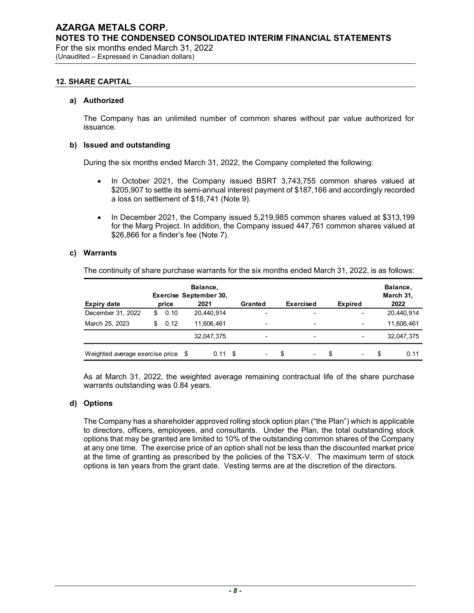(Unaudited – Expressed in Canadian dollars)

#### 12. SHARE CAPITAL

#### a) Authorized

#### b) Issued and outstanding

- In October 2021, the Company issued BSRT 3,743,755 common shares valued at \$205,907 to settle its semi-annual interest payment of \$187,166 and accordingly recorded a loss on settlement of \$18,741 (Note 9).
- In December 2021, the Company issued 5,219,985 common shares valued at \$313,199 for the Marg Project. In addition, the Company issued 447,761 common shares valued at \$26,866 for a finder's fee (Note 7).

#### c) Warrants

| The Company has an unlimited number of common shares without par value authorized for             |            |                                                                                                                                                                                                                                                                       |                |                  |                |                                                                                                                                                                     |
|---------------------------------------------------------------------------------------------------|------------|-----------------------------------------------------------------------------------------------------------------------------------------------------------------------------------------------------------------------------------------------------------------------|----------------|------------------|----------------|---------------------------------------------------------------------------------------------------------------------------------------------------------------------|
| issuance.                                                                                         |            |                                                                                                                                                                                                                                                                       |                |                  |                |                                                                                                                                                                     |
| <b>Issued and outstanding</b>                                                                     |            |                                                                                                                                                                                                                                                                       |                |                  |                |                                                                                                                                                                     |
| During the six months ended March 31, 2022, the Company completed the following:                  |            |                                                                                                                                                                                                                                                                       |                |                  |                |                                                                                                                                                                     |
| $\bullet$<br>$\bullet$                                                                            |            | \$205,907 to settle its semi-annual interest payment of \$187,166 and accordingly recorded<br>a loss on settlement of \$18,741 (Note 9).<br>In December 2021, the Company issued 5,219,985 common shares valued at \$313,199<br>\$26,866 for a finder's fee (Note 7). |                |                  |                | In October 2021, the Company issued BSRT 3,743,755 common shares valued at<br>for the Marg Project. In addition, the Company issued 447,761 common shares valued at |
| <b>Warrants</b>                                                                                   |            |                                                                                                                                                                                                                                                                       |                |                  |                |                                                                                                                                                                     |
|                                                                                                   |            |                                                                                                                                                                                                                                                                       |                |                  |                |                                                                                                                                                                     |
| The continuity of share purchase warrants for the six months ended March 31, 2022, is as follows: | price      | Balance,<br>Exercise September 30,<br>2021                                                                                                                                                                                                                            | Granted        | <b>Exercised</b> |                | Balance,<br>March 31,<br>2022                                                                                                                                       |
| <b>Expiry date</b><br>December 31, 2022                                                           | \$<br>0.10 | 20,440,914                                                                                                                                                                                                                                                            |                |                  | <b>Expired</b> | 20,440,914                                                                                                                                                          |
| March 25, 2023                                                                                    | \$0.12     | 11,606,461                                                                                                                                                                                                                                                            |                |                  |                | 11,606,461                                                                                                                                                          |
|                                                                                                   |            | 32,047,375                                                                                                                                                                                                                                                            | $\blacksquare$ |                  |                | 32,047,375                                                                                                                                                          |

#### d) Options

The Company has a shareholder approved rolling stock option plan ("the Plan") which is applicable to directors, officers, employees, and consultants. Under the Plan, the total outstanding stock options that may be granted are limited to 10% of the outstanding common shares of the Company at any one time. The exercise price of an option shall not be less than the discounted market price at the time of granting as prescribed by the policies of the TSX-V. The maximum term of stock options is ten years from the grant date. Vesting terms are at the discretion of the directors.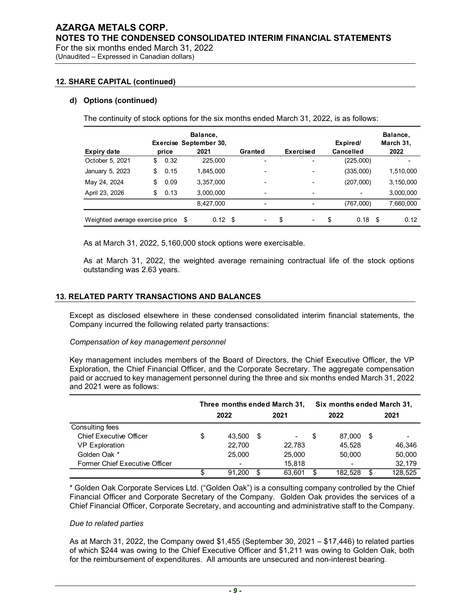(Unaudited – Expressed in Canadian dollars)

#### 12. SHARE CAPITAL (continued)

#### d) Options (continued)

|                                                                                         | six months ended March 31, 2022 |                                            |         |                  |                       |                               |
|-----------------------------------------------------------------------------------------|---------------------------------|--------------------------------------------|---------|------------------|-----------------------|-------------------------------|
| ed - Expressed in Canadian dollars)                                                     |                                 |                                            |         |                  |                       |                               |
| <b>Options (continued)</b>                                                              |                                 |                                            |         |                  |                       |                               |
| The continuity of stock options for the six months ended March 31, 2022, is as follows: | price                           | Balance,<br>Exercise September 30,<br>2021 | Granted | <b>Exercised</b> | Expired/<br>Cancelled | Balance,<br>March 31,<br>2022 |
| <b>Expiry date</b><br>October 5, 2021                                                   | 0.32<br>\$                      | 225,000                                    |         |                  | (225,000)             |                               |
| January 5, 2023                                                                         | \$<br>0.15                      | 1,845,000                                  |         |                  | (335,000)             | 1,510,000                     |
| May 24, 2024                                                                            | \$<br>0.09                      | 3,357,000                                  |         |                  | (207,000)             | 3,150,000                     |
|                                                                                         | \$<br>0.13                      | 3,000,000                                  |         |                  |                       | 3,000,000                     |
| April 23, 2026                                                                          |                                 | 8,427,000                                  | $\sim$  | $\blacksquare$   | (767,000)             | 7,660,000                     |

#### 13. RELATED PARTY TRANSACTIONS AND BALANCES

#### Compensation of key management personnel

| $0.12$ \$<br>$0.18$ \$<br>Weighted average exercise price \$<br>0.12<br>\$<br>\$<br>As at March 31, 2022, 5,160,000 stock options were exercisable.<br>As at March 31, 2022, the weighted average remaining contractual life of the stock options<br>outstanding was 2.63 years.<br><b>RELATED PARTY TRANSACTIONS AND BALANCES</b><br>Except as disclosed elsewhere in these condensed consolidated interim financial statements, the<br>Company incurred the following related party transactions:<br>Compensation of key management personnel<br>Key management includes members of the Board of Directors, the Chief Executive Officer, the VP<br>Exploration, the Chief Financial Officer, and the Corporate Secretary. The aggregate compensation<br>paid or accrued to key management personnel during the three and six months ended March 31, 2022<br>Six months ended March 31,<br>Three months ended March 31,<br>2022<br>2021<br>2022<br>2021<br><b>Chief Executive Officer</b><br>\$<br>43,500<br>\$<br>\$<br>87,000 \$<br><b>VP Exploration</b><br>22,700<br>22,783<br>45,528<br>46,346<br>Golden Oak *<br>25,000<br>50,000<br>25,000<br>50,000<br>Former Chief Executive Officer<br>32,179<br>15,818<br>\$<br>$91,200$ \$<br>$182,528$ \$<br>63,601 \$<br>* Golden Oak Corporate Services Ltd. ("Golden Oak") is a consulting company controlled by the Chief |                           | 8,427,000 |  |  | (767,000) | 7,660,000 |
|-----------------------------------------------------------------------------------------------------------------------------------------------------------------------------------------------------------------------------------------------------------------------------------------------------------------------------------------------------------------------------------------------------------------------------------------------------------------------------------------------------------------------------------------------------------------------------------------------------------------------------------------------------------------------------------------------------------------------------------------------------------------------------------------------------------------------------------------------------------------------------------------------------------------------------------------------------------------------------------------------------------------------------------------------------------------------------------------------------------------------------------------------------------------------------------------------------------------------------------------------------------------------------------------------------------------------------------------------------------------------------|---------------------------|-----------|--|--|-----------|-----------|
| 128,525                                                                                                                                                                                                                                                                                                                                                                                                                                                                                                                                                                                                                                                                                                                                                                                                                                                                                                                                                                                                                                                                                                                                                                                                                                                                                                                                                                     |                           |           |  |  |           |           |
|                                                                                                                                                                                                                                                                                                                                                                                                                                                                                                                                                                                                                                                                                                                                                                                                                                                                                                                                                                                                                                                                                                                                                                                                                                                                                                                                                                             |                           |           |  |  |           |           |
|                                                                                                                                                                                                                                                                                                                                                                                                                                                                                                                                                                                                                                                                                                                                                                                                                                                                                                                                                                                                                                                                                                                                                                                                                                                                                                                                                                             |                           |           |  |  |           |           |
|                                                                                                                                                                                                                                                                                                                                                                                                                                                                                                                                                                                                                                                                                                                                                                                                                                                                                                                                                                                                                                                                                                                                                                                                                                                                                                                                                                             |                           |           |  |  |           |           |
|                                                                                                                                                                                                                                                                                                                                                                                                                                                                                                                                                                                                                                                                                                                                                                                                                                                                                                                                                                                                                                                                                                                                                                                                                                                                                                                                                                             |                           |           |  |  |           |           |
|                                                                                                                                                                                                                                                                                                                                                                                                                                                                                                                                                                                                                                                                                                                                                                                                                                                                                                                                                                                                                                                                                                                                                                                                                                                                                                                                                                             |                           |           |  |  |           |           |
|                                                                                                                                                                                                                                                                                                                                                                                                                                                                                                                                                                                                                                                                                                                                                                                                                                                                                                                                                                                                                                                                                                                                                                                                                                                                                                                                                                             | and 2021 were as follows: |           |  |  |           |           |
|                                                                                                                                                                                                                                                                                                                                                                                                                                                                                                                                                                                                                                                                                                                                                                                                                                                                                                                                                                                                                                                                                                                                                                                                                                                                                                                                                                             |                           |           |  |  |           |           |
|                                                                                                                                                                                                                                                                                                                                                                                                                                                                                                                                                                                                                                                                                                                                                                                                                                                                                                                                                                                                                                                                                                                                                                                                                                                                                                                                                                             |                           |           |  |  |           |           |
|                                                                                                                                                                                                                                                                                                                                                                                                                                                                                                                                                                                                                                                                                                                                                                                                                                                                                                                                                                                                                                                                                                                                                                                                                                                                                                                                                                             | Consulting fees           |           |  |  |           |           |
|                                                                                                                                                                                                                                                                                                                                                                                                                                                                                                                                                                                                                                                                                                                                                                                                                                                                                                                                                                                                                                                                                                                                                                                                                                                                                                                                                                             |                           |           |  |  |           |           |
|                                                                                                                                                                                                                                                                                                                                                                                                                                                                                                                                                                                                                                                                                                                                                                                                                                                                                                                                                                                                                                                                                                                                                                                                                                                                                                                                                                             |                           |           |  |  |           |           |
| Financial Officer and Corporate Secretary of the Company. Golden Oak provides the services of a<br>Chief Financial Officer, Corporate Secretary, and accounting and administrative staff to the Company.                                                                                                                                                                                                                                                                                                                                                                                                                                                                                                                                                                                                                                                                                                                                                                                                                                                                                                                                                                                                                                                                                                                                                                    |                           |           |  |  |           |           |

#### Due to related parties

As at March 31, 2022, the Company owed \$1,455 (September 30, 2021 – \$17,446) to related parties of which \$244 was owing to the Chief Executive Officer and \$1,211 was owing to Golden Oak, both for the reimbursement of expenditures. All amounts are unsecured and non-interest bearing.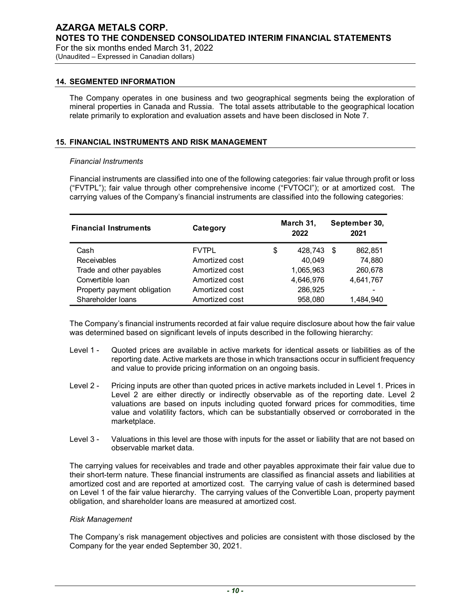#### 14. SEGMENTED INFORMATION

#### 15. FINANCIAL INSTRUMENTS AND RISK MANAGEMENT

#### Financial Instruments

| <b>SEGMENTED INFORMATION</b>                                                                                                                                                                                                                                                                                                                           |                |                   |                       |
|--------------------------------------------------------------------------------------------------------------------------------------------------------------------------------------------------------------------------------------------------------------------------------------------------------------------------------------------------------|----------------|-------------------|-----------------------|
| The Company operates in one business and two geographical segments being the exploration of<br>mineral properties in Canada and Russia. The total assets attributable to the geographical location<br>relate primarily to exploration and evaluation assets and have been disclosed in Note 7.                                                         |                |                   |                       |
| FINANCIAL INSTRUMENTS AND RISK MANAGEMENT                                                                                                                                                                                                                                                                                                              |                |                   |                       |
|                                                                                                                                                                                                                                                                                                                                                        |                |                   |                       |
| <b>Financial Instruments</b>                                                                                                                                                                                                                                                                                                                           |                |                   |                       |
| Financial instruments are classified into one of the following categories: fair value through profit or loss<br>("FVTPL"); fair value through other comprehensive income ("FVTOCI"); or at amortized cost. The<br>carrying values of the Company's financial instruments are classified into the following categories:<br><b>Financial Instruments</b> | Category       | March 31,<br>2022 | September 30,<br>2021 |
| Cash                                                                                                                                                                                                                                                                                                                                                   | <b>FVTPL</b>   | \$<br>428,743 \$  | 862,851               |
| Receivables                                                                                                                                                                                                                                                                                                                                            | Amortized cost | 40,049            | 74,880                |
| Trade and other payables                                                                                                                                                                                                                                                                                                                               | Amortized cost | 1,065,963         | 260,678               |
| Convertible loan                                                                                                                                                                                                                                                                                                                                       | Amortized cost | 4,646,976         | 4,641,767             |
| Property payment obligation                                                                                                                                                                                                                                                                                                                            | Amortized cost | 286,925           |                       |

- Level 1 Quoted prices are available in active markets for identical assets or liabilities as of the reporting date. Active markets are those in which transactions occur in sufficient frequency and value to provide pricing information on an ongoing basis.
- Level 2 Pricing inputs are other than quoted prices in active markets included in Level 1. Prices in Level 2 are either directly or indirectly observable as of the reporting date. Level 2 valuations are based on inputs including quoted forward prices for commodities, time value and volatility factors, which can be substantially observed or corroborated in the marketplace.
- Level 3 Valuations in this level are those with inputs for the asset or liability that are not based on observable market data.

The carrying values for receivables and trade and other payables approximate their fair value due to their short-term nature. These financial instruments are classified as financial assets and liabilities at amortized cost and are reported at amortized cost. The carrying value of cash is determined based on Level 1 of the fair value hierarchy. The carrying values of the Convertible Loan, property payment obligation, and shareholder loans are measured at amortized cost.

#### Risk Management

The Company's risk management objectives and policies are consistent with those disclosed by the Company for the year ended September 30, 2021.